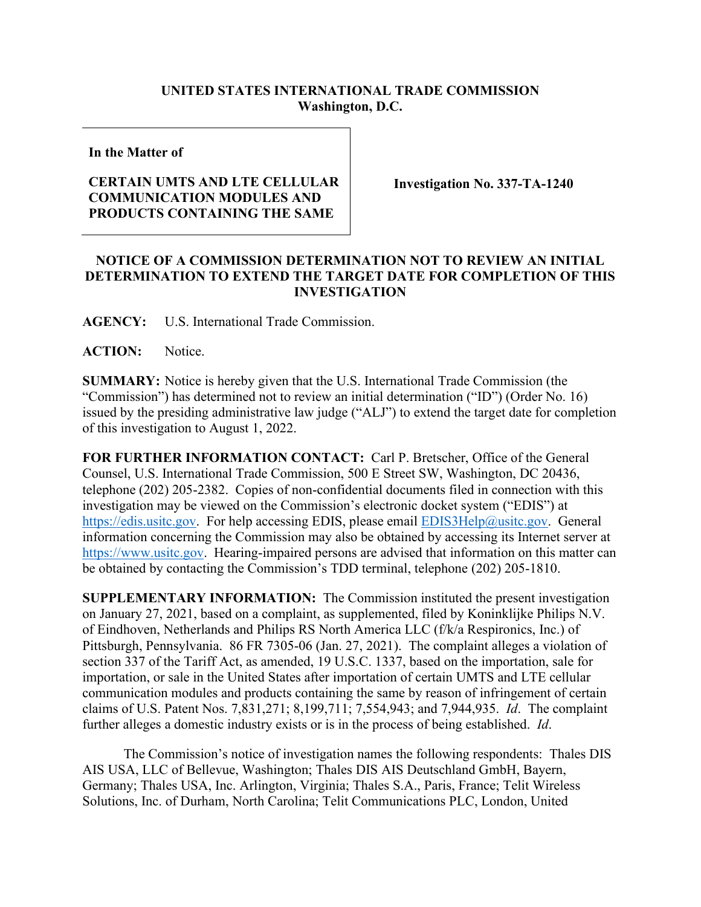## **UNITED STATES INTERNATIONAL TRADE COMMISSION Washington, D.C.**

**In the Matter of**

## **CERTAIN UMTS AND LTE CELLULAR COMMUNICATION MODULES AND PRODUCTS CONTAINING THE SAME**

**Investigation No. 337-TA-1240**

## **NOTICE OF A COMMISSION DETERMINATION NOT TO REVIEW AN INITIAL DETERMINATION TO EXTEND THE TARGET DATE FOR COMPLETION OF THIS INVESTIGATION**

**AGENCY:** U.S. International Trade Commission.

**ACTION:** Notice.

**SUMMARY:** Notice is hereby given that the U.S. International Trade Commission (the "Commission") has determined not to review an initial determination ("ID") (Order No. 16) issued by the presiding administrative law judge ("ALJ") to extend the target date for completion of this investigation to August 1, 2022.

**FOR FURTHER INFORMATION CONTACT:** Carl P. Bretscher, Office of the General Counsel, U.S. International Trade Commission, 500 E Street SW, Washington, DC 20436, telephone (202) 205-2382. Copies of non-confidential documents filed in connection with this investigation may be viewed on the Commission's electronic docket system ("EDIS") at [https://edis.usitc.gov.](https://edis.usitc.gov/) For help accessing EDIS, please email **EDIS3Help@usitc.gov**. General information concerning the Commission may also be obtained by accessing its Internet server at [https://www.usitc.gov.](https://www.usitc.gov/) Hearing-impaired persons are advised that information on this matter can be obtained by contacting the Commission's TDD terminal, telephone (202) 205-1810.

**SUPPLEMENTARY INFORMATION:** The Commission instituted the present investigation on January 27, 2021, based on a complaint, as supplemented, filed by Koninklijke Philips N.V. of Eindhoven, Netherlands and Philips RS North America LLC (f/k/a Respironics, Inc.) of Pittsburgh, Pennsylvania. 86 FR 7305-06 (Jan. 27, 2021). The complaint alleges a violation of section 337 of the Tariff Act, as amended, 19 U.S.C. 1337, based on the importation, sale for importation, or sale in the United States after importation of certain UMTS and LTE cellular communication modules and products containing the same by reason of infringement of certain claims of U.S. Patent Nos. 7,831,271; 8,199,711; 7,554,943; and 7,944,935. *Id*. The complaint further alleges a domestic industry exists or is in the process of being established. *Id*.

The Commission's notice of investigation names the following respondents: Thales DIS AIS USA, LLC of Bellevue, Washington; Thales DIS AIS Deutschland GmbH, Bayern, Germany; Thales USA, Inc. Arlington, Virginia; Thales S.A., Paris, France; Telit Wireless Solutions, Inc. of Durham, North Carolina; Telit Communications PLC, London, United